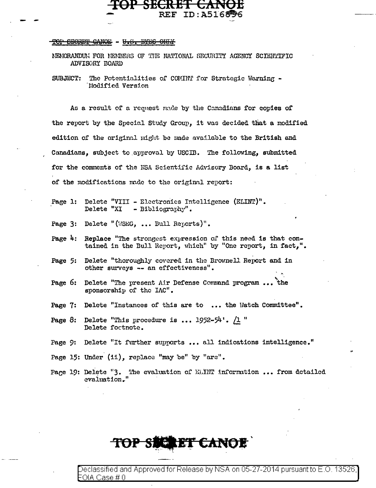## TOP CECRET CANOE - U.S. EYES ONLY

NEMORANDUM FOR MEMBERS OF THE NATIONAL SECURITY AGENCY SCIENTIFIC ADVISORY BOARD

**REF ID:A5168** 

SUBJECT: The Potentialities of COMINT for Strategic Warning -Modified Version

As a result of a request made by the Canadians for copies of the report by the Special Study Group, it was decided that a modified edition of the original might be made available to the British and Canadians, subject to approval by USCIB. The following, submitted for the comments of the NSA Scientific Advisory Board, is a list of the modifications made to the original report:

- Delete "VIII Electronics Intelligence (ELINT)".  $Pare 1:$ Delete "XI - Bibliography".
- Page 3: Delete "(WSEG, ... Bull Reports)".
- Page 4: Replace "The strongest expression of this need is that contained in the Bull Report, which" by "One report, in fact,".
- Delete "thoroughly covered in the Brownell Report and in Page 5: other surveys -- an effectiveness".
- Delete "The present Air Defense Command program... the Page  $6:$ sponsorship of the IAC".
- Page 7: Delete "Instances of this are to ... the Watch Committee".
- Page 8: Delete "This procedure is ...  $1952-54$ ".  $/1$  " Delete foctnote.
- Page 9: Delete "It further supports ... all indications intelligence."
- Page 15: Under (ii), replace "may be" by "are".
- Page 19: Delete "3. The evaluation of ELINT information ... from detailed evaluation."

Declassified and Approved for Release by NSA on 05-27-2014 pursuant to E.O. 13526 OIA Case # 0

**ERET CANO**